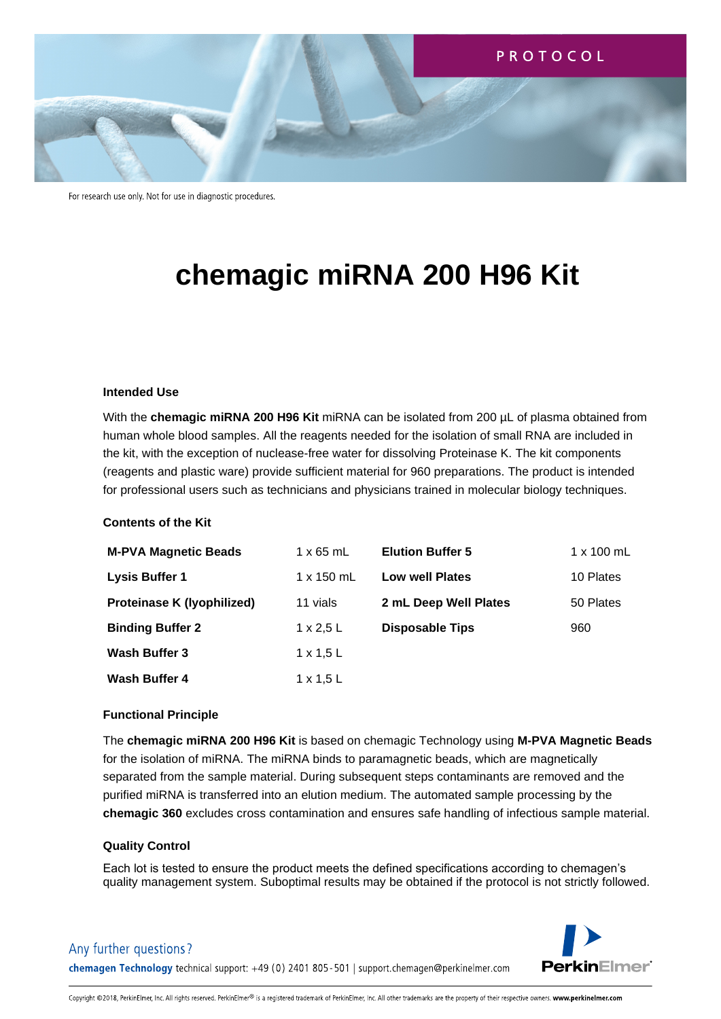

# **chemagic miRNA 200 H96 Kit**

#### **Intended Use**

With the **chemagic miRNA 200 H96 Kit** miRNA can be isolated from 200 µL of plasma obtained from human whole blood samples. All the reagents needed for the isolation of small RNA are included in the kit, with the exception of nuclease-free water for dissolving Proteinase K. The kit components (reagents and plastic ware) provide sufficient material for 960 preparations. The product is intended for professional users such as technicians and physicians trained in molecular biology techniques.

#### **Contents of the Kit**

| <b>M-PVA Magnetic Beads</b> | $1 \times 65$ mL | <b>Elution Buffer 5</b> | $1 \times 100$ mL |
|-----------------------------|------------------|-------------------------|-------------------|
| <b>Lysis Buffer 1</b>       | 1 x 150 mL       | Low well Plates         | 10 Plates         |
| Proteinase K (lyophilized)  | 11 vials         | 2 mL Deep Well Plates   | 50 Plates         |
| <b>Binding Buffer 2</b>     | $1 \times 2.5$ L | <b>Disposable Tips</b>  | 960               |
| Wash Buffer 3               | $1 \times 1.5$ L |                         |                   |
| Wash Buffer 4               | $1 \times 1.5$ L |                         |                   |

#### **Functional Principle**

The **chemagic miRNA 200 H96 Kit** is based on chemagic Technology using **M-PVA Magnetic Beads** for the isolation of miRNA. The miRNA binds to paramagnetic beads, which are magnetically separated from the sample material. During subsequent steps contaminants are removed and the purified miRNA is transferred into an elution medium. The automated sample processing by the **chemagic 360** excludes cross contamination and ensures safe handling of infectious sample material.

#### **Quality Control**

Each lot is tested to ensure the product meets the defined specifications according to chemagen's quality management system. Suboptimal results may be obtained if the protocol is not strictly followed.

# **PerkinElmer**

# Any further questions?

chemagen Technology technical support: +49 (0) 2401 805-501 | support.chemagen@perkinelmer.com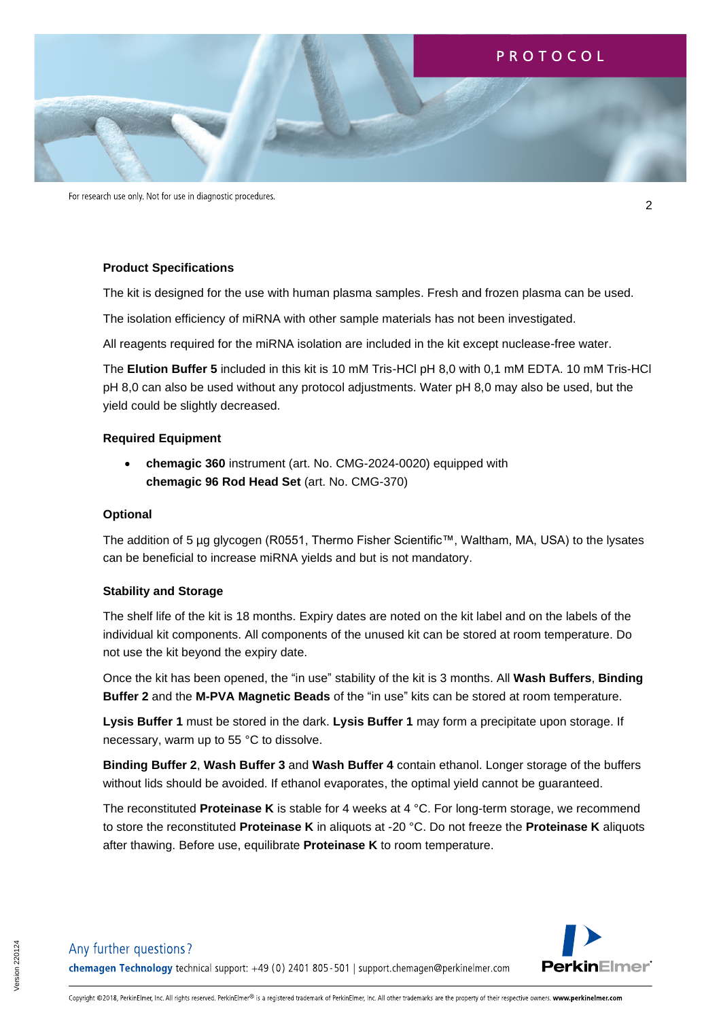

For research use only. Not for use in diagnostic procedures.

#### **Product Specifications**

The kit is designed for the use with human plasma samples. Fresh and frozen plasma can be used.

The isolation efficiency of miRNA with other sample materials has not been investigated.

All reagents required for the miRNA isolation are included in the kit except nuclease-free water.

The **Elution Buffer 5** included in this kit is 10 mM Tris-HCl pH 8,0 with 0,1 mM EDTA. 10 mM Tris-HCl pH 8,0 can also be used without any protocol adjustments. Water pH 8,0 may also be used, but the yield could be slightly decreased.

#### **Required Equipment**

• **chemagic 360** instrument (art. No. CMG-2024-0020) equipped with **chemagic 96 Rod Head Set** (art. No. CMG-370)

#### **Optional**

The addition of 5 µg glycogen (R0551, Thermo Fisher Scientific™, Waltham, MA, USA) to the lysates can be beneficial to increase miRNA yields and but is not mandatory.

#### **Stability and Storage**

The shelf life of the kit is 18 months. Expiry dates are noted on the kit label and on the labels of the individual kit components. All components of the unused kit can be stored at room temperature. Do not use the kit beyond the expiry date.

Once the kit has been opened, the "in use" stability of the kit is 3 months. All **Wash Buffers**, **Binding Buffer 2** and the **M-PVA Magnetic Beads** of the "in use" kits can be stored at room temperature.

**Lysis Buffer 1** must be stored in the dark. **Lysis Buffer 1** may form a precipitate upon storage. If necessary, warm up to 55 °C to dissolve.

**Binding Buffer 2**, **Wash Buffer 3** and **Wash Buffer 4** contain ethanol. Longer storage of the buffers without lids should be avoided. If ethanol evaporates, the optimal yield cannot be guaranteed.

The reconstituted **Proteinase K** is stable for 4 weeks at 4 °C. For long-term storage, we recommend to store the reconstituted **Proteinase K** in aliquots at -20 °C. Do not freeze the **Proteinase K** aliquots after thawing. Before use, equilibrate **Proteinase K** to room temperature.



Any further questions? chemagen Technology technical support: +49 (0) 2401 805-501 | support.chemagen@perkinelmer.com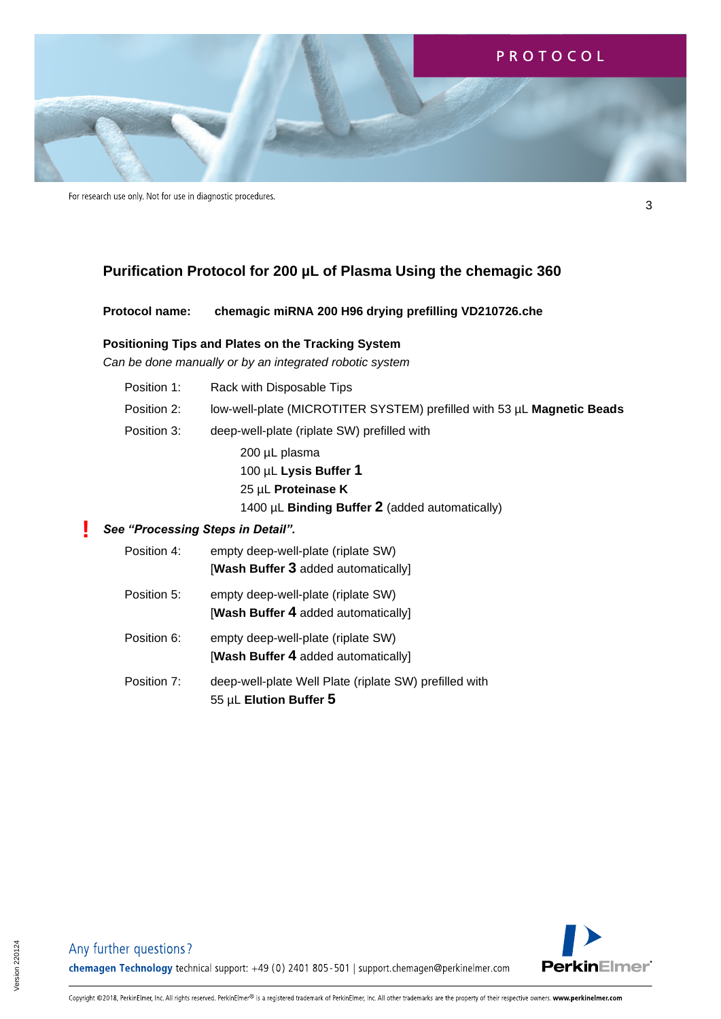

3

# **Purification Protocol for 200 µL of Plasma Using the chemagic 360**

### **Protocol name: chemagic miRNA 200 H96 drying prefilling VD210726.che**

#### **Positioning Tips and Plates on the Tracking System**

*Can be done manually or by an integrated robotic system*

|                                   | Position 1: | Rack with Disposable Tips                   |                         |                                                     |                                                                        |  |
|-----------------------------------|-------------|---------------------------------------------|-------------------------|-----------------------------------------------------|------------------------------------------------------------------------|--|
|                                   | Position 2: |                                             |                         |                                                     | low-well-plate (MICROTITER SYSTEM) prefilled with 53 µL Magnetic Beads |  |
|                                   | Position 3: | deep-well-plate (riplate SW) prefilled with |                         |                                                     |                                                                        |  |
|                                   |             | 200 µL plasma                               |                         |                                                     |                                                                        |  |
|                                   |             |                                             | 100 µL Lysis Buffer $1$ |                                                     |                                                                        |  |
| 25 µL Proteinase K                |             |                                             |                         |                                                     |                                                                        |  |
|                                   |             |                                             |                         | 1400 $\mu$ L Binding Buffer 2 (added automatically) |                                                                        |  |
| See "Processing Steps in Detail". |             |                                             |                         |                                                     |                                                                        |  |
| Position 4:                       |             | empty deep-well-plate (riplate SW)          |                         |                                                     |                                                                        |  |
|                                   |             | [Wash Buffer 3 added automatically]         |                         |                                                     |                                                                        |  |
|                                   |             |                                             |                         |                                                     |                                                                        |  |

- Position 5: empty deep-well-plate (riplate SW) [**Wash Buffer 4** added automatically]
- Position 6: empty deep-well-plate (riplate SW) [**Wash Buffer 4** added automatically]
- Position 7: deep-well-plate Well Plate (riplate SW) prefilled with 55 µL **Elution Buffer 5**



Version 220124 Version 220124 **!**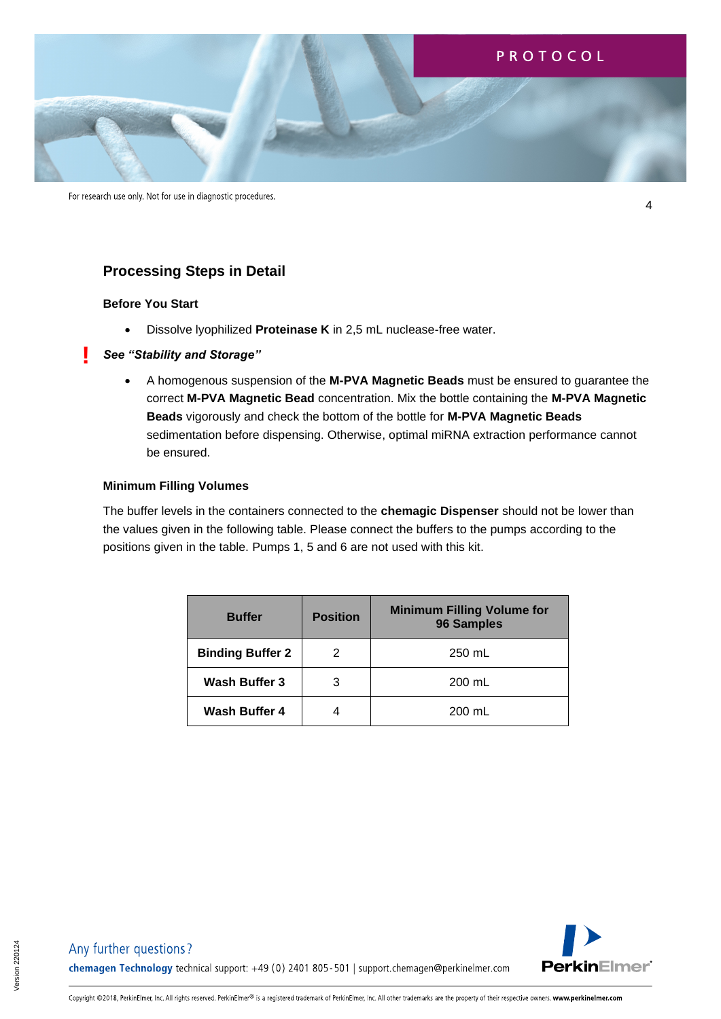

For research use only. Not for use in diagnostic procedures.

## **Processing Steps in Detail**

#### **Before You Start**

**!**

- Dissolve lyophilized **Proteinase K** in 2,5 mL nuclease-free water.
- *See "Stability and Storage"*
	- A homogenous suspension of the **M-PVA Magnetic Beads** must be ensured to guarantee the correct **M-PVA Magnetic Bead** concentration. Mix the bottle containing the **M-PVA Magnetic Beads** vigorously and check the bottom of the bottle for **M-PVA Magnetic Beads** sedimentation before dispensing. Otherwise, optimal miRNA extraction performance cannot be ensured.

#### **Minimum Filling Volumes**

The buffer levels in the containers connected to the **chemagic Dispenser** should not be lower than the values given in the following table. Please connect the buffers to the pumps according to the positions given in the table. Pumps 1, 5 and 6 are not used with this kit.

| <b>Buffer</b>           | <b>Position</b> | <b>Minimum Filling Volume for</b><br>96 Samples |
|-------------------------|-----------------|-------------------------------------------------|
| <b>Binding Buffer 2</b> | 2               | 250 mL                                          |
| <b>Wash Buffer 3</b>    | 3               | 200 mL                                          |
| <b>Wash Buffer 4</b>    |                 | 200 mL                                          |



4

Any further questions? chemagen Technology technical support: +49 (0) 2401 805-501 | support.chemagen@perkinelmer.com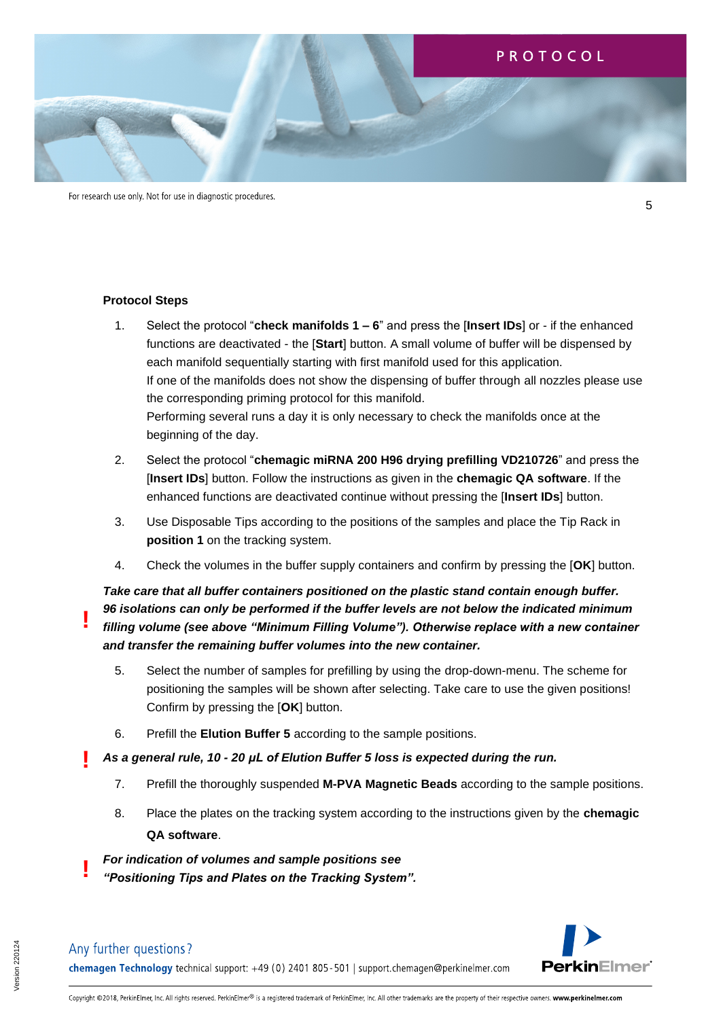

#### **Protocol Steps**

- 1. Select the protocol "**check manifolds 1 – 6**" and press the [**Insert IDs**] or if the enhanced functions are deactivated - the [**Start**] button. A small volume of buffer will be dispensed by each manifold sequentially starting with first manifold used for this application. If one of the manifolds does not show the dispensing of buffer through all nozzles please use the corresponding priming protocol for this manifold. Performing several runs a day it is only necessary to check the manifolds once at the beginning of the day.
- 2. Select the protocol "**chemagic miRNA 200 H96 drying prefilling VD210726**" and press the [**Insert IDs**] button. Follow the instructions as given in the **chemagic QA software**. If the enhanced functions are deactivated continue without pressing the [**Insert IDs**] button.
- 3. Use Disposable Tips according to the positions of the samples and place the Tip Rack in **position 1** on the tracking system.
- 4. Check the volumes in the buffer supply containers and confirm by pressing the [**OK**] button.

*Take care that all buffer containers positioned on the plastic stand contain enough buffer. 96 isolations can only be performed if the buffer levels are not below the indicated minimum filling volume (see above "Minimum Filling Volume"). Otherwise replace with a new container and transfer the remaining buffer volumes into the new container.*

- 5. Select the number of samples for prefilling by using the drop-down-menu. The scheme for positioning the samples will be shown after selecting. Take care to use the given positions! Confirm by pressing the [**OK**] button.
- 6. Prefill the **Elution Buffer 5** according to the sample positions.
- *As a general rule, 10 - 20 μL of Elution Buffer 5 loss is expected during the run.* **!**
	- 7. Prefill the thoroughly suspended **M-PVA Magnetic Beads** according to the sample positions.
	- 8. Place the plates on the tracking system according to the instructions given by the **chemagic QA software**.
	- *For indication of volumes and sample positions see "Positioning Tips and Plates on the Tracking System".* **!**



Any further questions?

**!**

chemagen Technology technical support: +49 (0) 2401 805-501 | support.chemagen@perkinelmer.com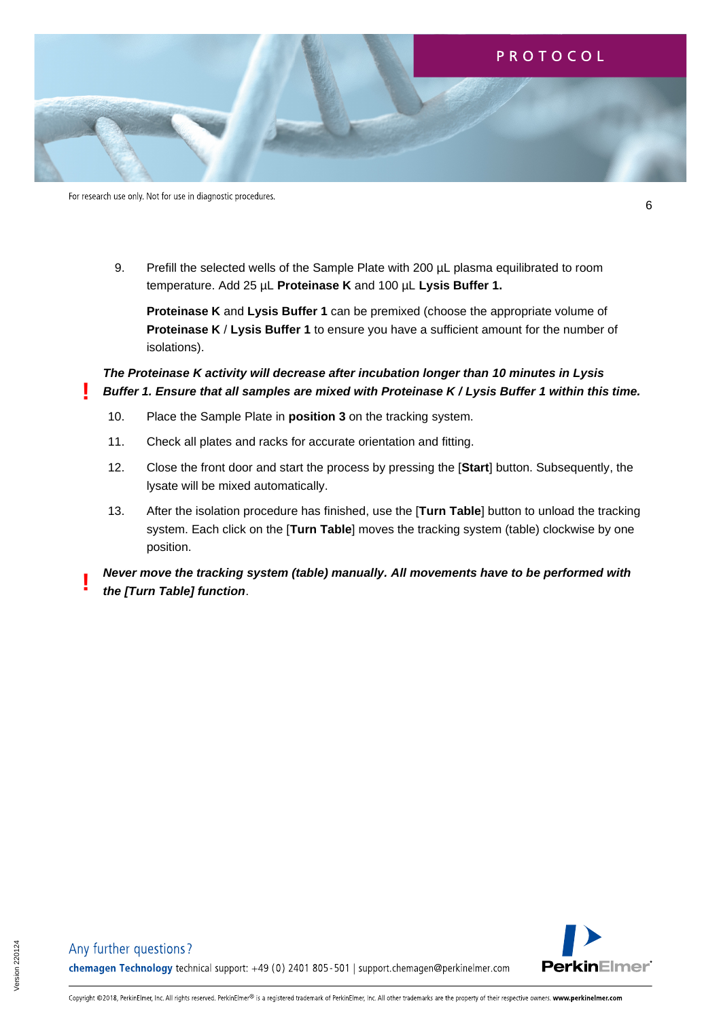

9. Prefill the selected wells of the Sample Plate with 200 µL plasma equilibrated to room temperature. Add 25 µL **Proteinase K** and 100 µL **Lysis Buffer 1.**

**Proteinase K** and **Lysis Buffer 1** can be premixed (choose the appropriate volume of **Proteinase K** / **Lysis Buffer 1** to ensure you have a sufficient amount for the number of isolations).

*The Proteinase K activity will decrease after incubation longer than 10 minutes in Lysis Buffer 1. Ensure that all samples are mixed with Proteinase K / Lysis Buffer 1 within this time.*

- 10. Place the Sample Plate in **position 3** on the tracking system.
- 11. Check all plates and racks for accurate orientation and fitting.
- 12. Close the front door and start the process by pressing the [**Start**] button. Subsequently, the lysate will be mixed automatically.
- 13. After the isolation procedure has finished, use the [**Turn Table**] button to unload the tracking system. Each click on the [**Turn Table**] moves the tracking system (table) clockwise by one position.

*Never move the tracking system (table) manually. All movements have to be performed with the [Turn Table] function*.



**!**

**!**